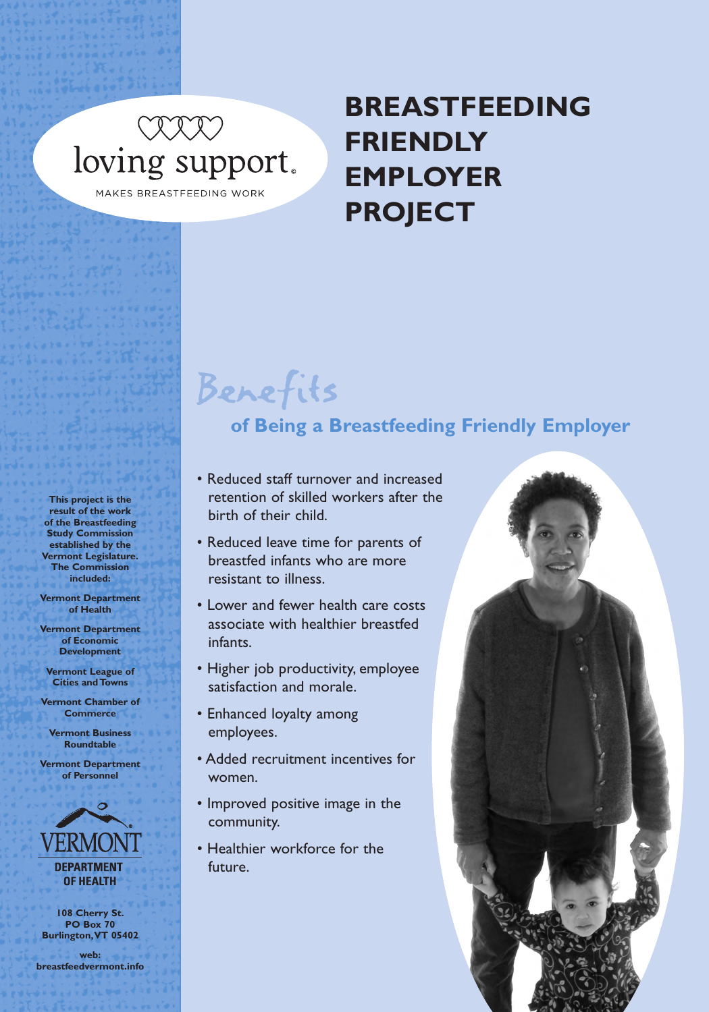# COON DON'T CONTROVER MAKES BREASTFEEDING WORK

**BREASTFEEDING FRIENDLY EMPLOYER PROJECT**

### Benefits **of Being a Breastfeeding Friendly Employer**

- Reduced staff turnover and increased retention of skilled workers after the birth of their child.
- Reduced leave time for parents of breastfed infants who are more resistant to illness.
- Lower and fewer health care costs associate with healthier breastfed infants.
- Higher job productivity, employee satisfaction and morale.
- Enhanced loyalty among employees.
- Added recruitment incentives for women.
- Improved positive image in the community.
- Healthier workforce for the future.



**This project is the result of the work of the Breastfeeding Study Commission established by the Vermont Legislature. The Commission included:**

**Vermont Department of Health**

**Vermont Department of Economic Development**

**Vermont League of Cities and Towns**

**Vermont Chamber of Commerce**

**Vermont Business Roundtable**

**Vermont Department of Personnel**



**108 Cherry St. PO Box 70 Burlington, VT 05402**

**web: breastfeedvermont.info**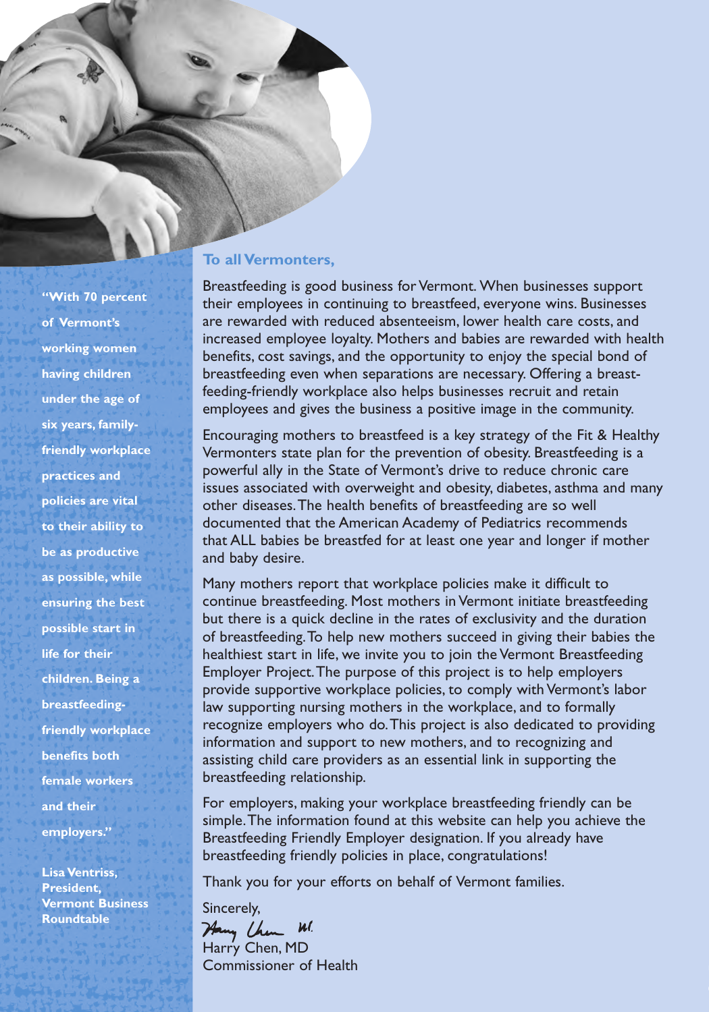#### **To all Vermonters,**

Breastfeeding is good business for Vermont. When businesses support their employees in continuing to breastfeed, everyone wins. Businesses are rewarded with reduced absenteeism, lower health care costs, and increased employee loyalty. Mothers and babies are rewarded with health benefits, cost savings, and the opportunity to enjoy the special bond of breastfeeding even when separations are necessary. Offering a breastfeeding-friendly workplace also helps businesses recruit and retain employees and gives the business a positive image in the community.

Encouraging mothers to breastfeed is a key strategy of the Fit & Healthy Vermonters state plan for the prevention of obesity. Breastfeeding is a powerful ally in the State of Vermont's drive to reduce chronic care issues associated with overweight and obesity, diabetes, asthma and many other diseases. The health benefits of breastfeeding are so well documented that the American Academy of Pediatrics recommends that ALL babies be breastfed for at least one year and longer if mother and baby desire.

Many mothers report that workplace policies make it difficult to continue breastfeeding. Most mothers in Vermont initiate breastfeeding but there is a quick decline in the rates of exclusivity and the duration of breastfeeding. To help new mothers succeed in giving their babies the healthiest start in life, we invite you to join the Vermont Breastfeeding Employer Project. The purpose of this project is to help employers provide supportive workplace policies, to comply with Vermont's labor law supporting nursing mothers in the workplace, and to formally recognize employers who do. This project is also dedicated to providing information and support to new mothers, and to recognizing and assisting child care providers as an essential link in supporting the breastfeeding relationship.

For employers, making your workplace breastfeeding friendly can be simple. The information found at this website can help you achieve the Breastfeeding Friendly Employer designation. If you already have breastfeeding friendly policies in place, congratulations!

Thank you for your efforts on behalf of Vermont families.

Sincerely, Hany Chen Wl. Harry Chen, MD Commissioner of Health ✁

**of Vermont's working women having children under the age of six years, familyfriendly workplace practices and policies are vital to their ability to be as productive as possible, while ensuring the best possible start in life for their children. Being a breastfeedingfriendly workplace benefits both female workers and their employers."**

**"With 70 percent**

**Lisa Ventriss, President, Vermont Business Roundtable**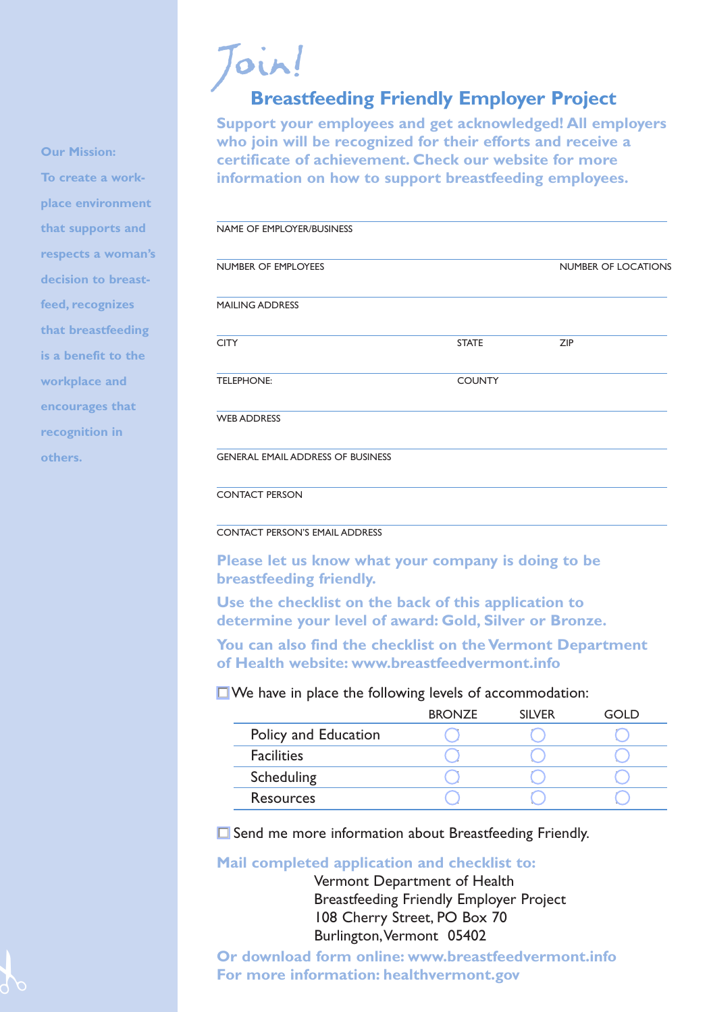## Join! **Breastfeeding Friendly Employer Project**

**Support your employees and get acknowledged! All employers who join will be recognized for their efforts and receive a certificate of achievement. Check our website for more information on how to support breastfeeding employees.**

| NAME OF EMPLOYER/BUSINESS                |               |                            |
|------------------------------------------|---------------|----------------------------|
| NUMBER OF EMPLOYEES                      |               | <b>NUMBER OF LOCATIONS</b> |
| <b>MAILING ADDRESS</b>                   |               |                            |
| <b>CITY</b>                              | <b>STATE</b>  | ZIP                        |
| <b>TELEPHONE:</b>                        | <b>COUNTY</b> |                            |
| <b>WEB ADDRESS</b>                       |               |                            |
| <b>GENERAL EMAIL ADDRESS OF BUSINESS</b> |               |                            |
| <b>CONTACT PERSON</b>                    |               |                            |

#### CONTACT PERSON'S EMAIL ADDRESS

**Please let us know what your company is doing to be breastfeeding friendly.**

**Use the checklist on the back of this application to determine your level of award: Gold, Silver or Bronze.**

**You can also find the checklist on the Vermont Department of Health website: www.breastfeedvermont.info**

### $\Box$  We have in place the following levels of accommodation:

|                      | <b>BRONZE</b> | <b>SILVER</b> | ח וחד |
|----------------------|---------------|---------------|-------|
| Policy and Education |               |               |       |
| <b>Facilities</b>    |               |               |       |
| Scheduling           |               |               |       |
| <b>Resources</b>     |               |               |       |

 $\Box$  Send me more information about Breastfeeding Friendly.

**Mail completed application and checklist to:**

Vermont Department of Health Breastfeeding Friendly Employer Project 108 Cherry Street, PO Box 70 Burlington, Vermont 05402

**Or download form online: www.breastfeedvermont.info For more information: healthvermont.gov**

**Our Mission:** 

**To create a workplace environment that supports and respects a woman's decision to breastfeed, recognizes that breastfeeding is a benefit to the workplace and encourages that recognition in others.**

 $\frac{1}{6}$